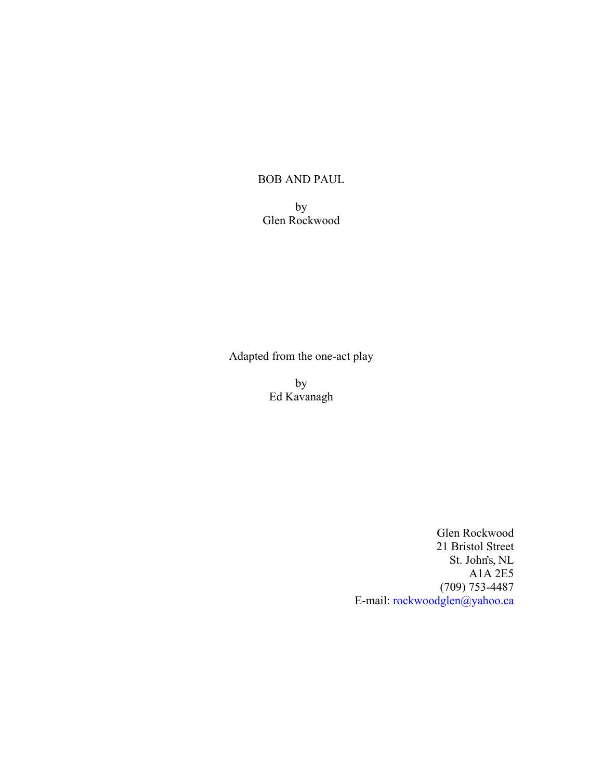# BOB AND PAUL

by Glen Rockwood

Adapted from the one-act play

by Ed Kavanagh

> Glen Rockwood 21 Bristol Street St. John's, NL A1A 2E5 (709) 753-4487 E-mail: [rockwoodglen@yahoo.ca](mailto:rockwoodglen@yahoo.ca)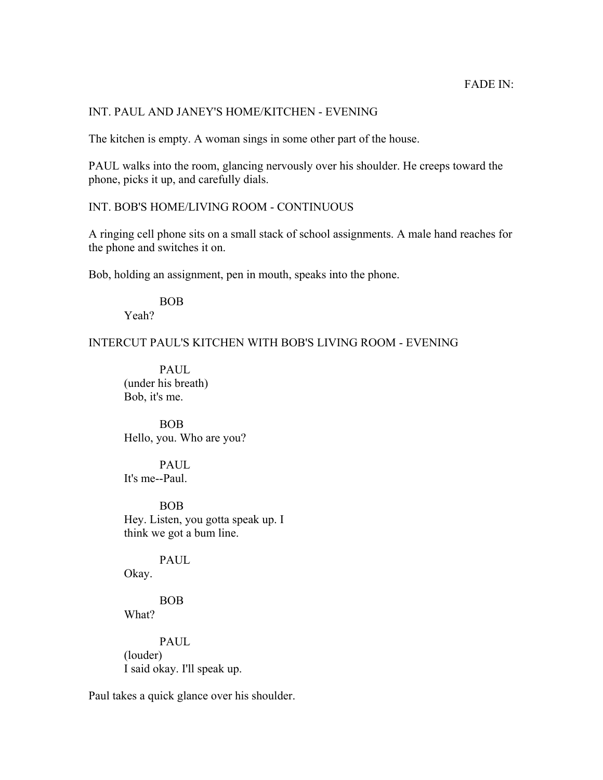# INT. PAUL AND JANEY'S HOME/KITCHEN - EVENING

The kitchen is empty. A woman sings in some other part of the house.

PAUL walks into the room, glancing nervously over his shoulder. He creeps toward the phone, picks it up, and carefully dials.

## INT. BOB'S HOME/LIVING ROOM - CONTINUOUS

A ringing cell phone sits on a small stack of school assignments. A male hand reaches for the phone and switches it on.

Bob, holding an assignment, pen in mouth, speaks into the phone.

# BOB

Yeah?

INTERCUT PAUL'S KITCHEN WITH BOB'S LIVING ROOM - EVENING

PAUL (under his breath) Bob, it's me.

BOB Hello, you. Who are you?

PAUL It's me--Paul.

BOB Hey. Listen, you gotta speak up. I think we got a bum line.

PAUL

Okay.

BOB What?

PAUL. (louder) I said okay. I'll speak up.

Paul takes a quick glance over his shoulder.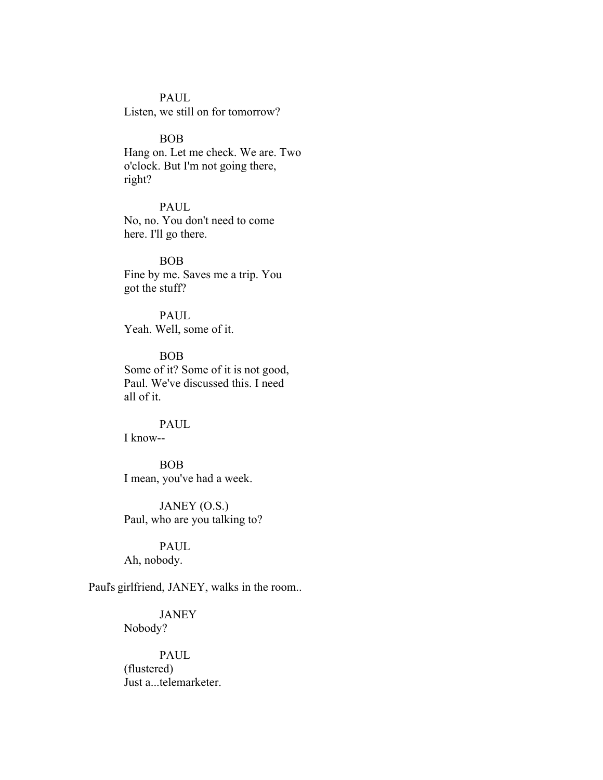# PAUL

Listen, we still on for tomorrow?

#### BOB

Hang on. Let me check. We are. Two o'clock. But I'm not going there, right?

#### PAUL

No, no. You don't need to come here. I'll go there.

#### BOB

Fine by me. Saves me a trip. You got the stuff?

# PAUL Yeah. Well, some of it.

BOB Some of it? Some of it is not good, Paul. We've discussed this. I need all of it.

#### PAUL I know--

BOB I mean, you've had a week.

JANEY (O.S.) Paul, who are you talking to?

# PAUL

Ah, nobody.

Paul's girlfriend, JANEY, walks in the room..

# JANEY Nobody?

PAUL (flustered) Just a...telemarketer.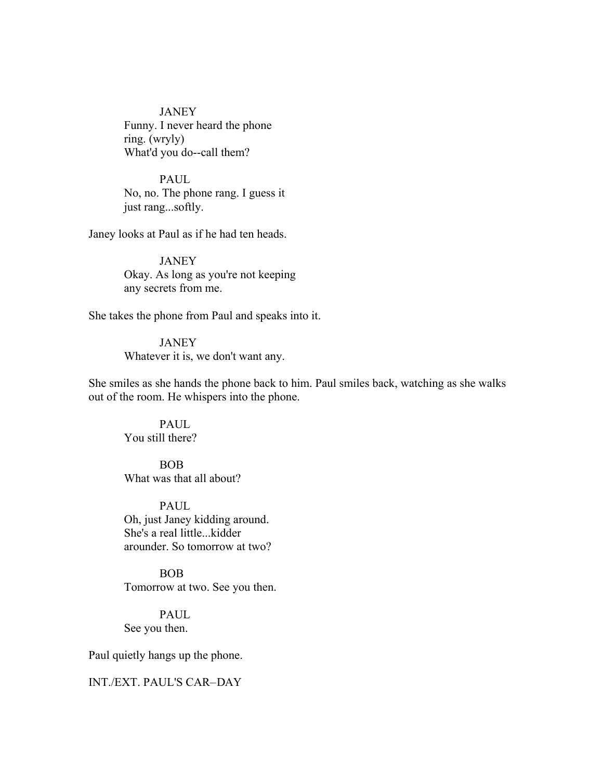**JANEY** Funny. I never heard the phone ring. (wryly) What'd you do--call them?

**PAUL** No, no. The phone rang. I guess it just rang...softly.

Janey looks at Paul as if he had ten heads.

JANEY Okay. As long as you're not keeping any secrets from me.

She takes the phone from Paul and speaks into it.

**JANEY** Whatever it is, we don't want any.

She smiles as she hands the phone back to him. Paul smiles back, watching as she walks out of the room. He whispers into the phone.

PAUL You still there?

BOB What was that all about?

PAUL Oh, just Janey kidding around. She's a real little...kidder arounder. So tomorrow at two?

BOB Tomorrow at two. See you then.

PAUL See you then.

Paul quietly hangs up the phone.

# INT./EXT. PAUL'S CAR-DAY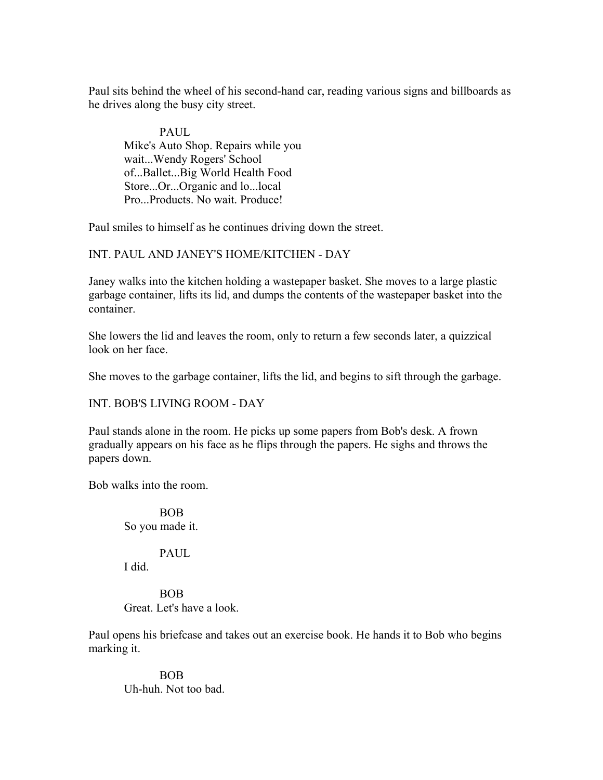Paul sits behind the wheel of his second-hand car, reading various signs and billboards as he drives along the busy city street.

PAUL. Mike's Auto Shop. Repairs while you wait...Wendy Rogers' School of...Ballet...Big World Health Food Store...Or...Organic and lo...local Pro...Products. No wait. Produce!

Paul smiles to himself as he continues driving down the street.

INT. PAUL AND JANEY'S HOME/KITCHEN - DAY

Janey walks into the kitchen holding a wastepaper basket. She moves to a large plastic garbage container, lifts its lid, and dumps the contents of the wastepaper basket into the container.

She lowers the lid and leaves the room, only to return a few seconds later, a quizzical look on her face.

She moves to the garbage container, lifts the lid, and begins to sift through the garbage.

INT. BOB'S LIVING ROOM - DAY

Paul stands alone in the room. He picks up some papers from Bob's desk. A frown gradually appears on his face as he flips through the papers. He sighs and throws the papers down.

Bob walks into the room.

BOB So you made it.

PAUL

I did.

BOB Great. Let's have a look.

Paul opens his briefcase and takes out an exercise book. He hands it to Bob who begins marking it.

BOB Uh-huh. Not too bad.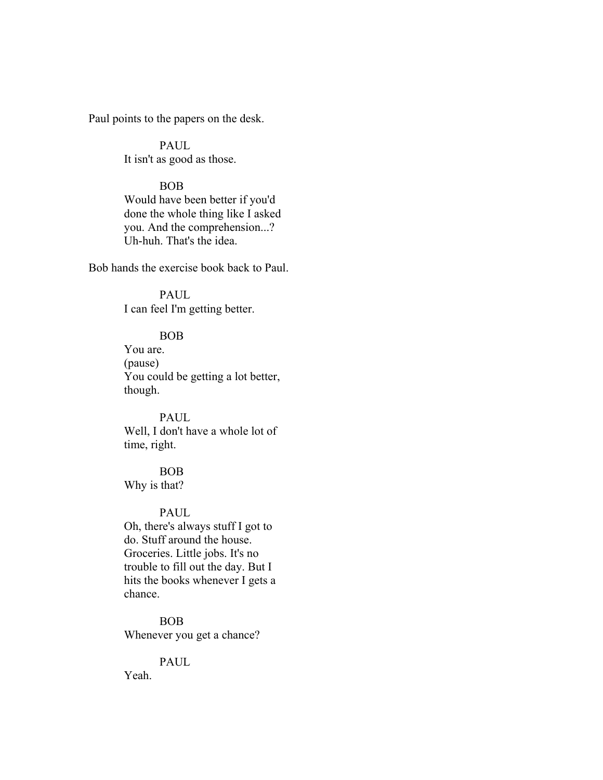Paul points to the papers on the desk.

**PAUL** It isn't as good as those.

# BOB

Would have been better if you'd done the whole thing like I asked you. And the comprehension...? Uh-huh. That's the idea.

Bob hands the exercise book back to Paul.

PAUL I can feel I'm getting better.

# BOB

You are. (pause) You could be getting a lot better, though.

# PAUL

Well, I don't have a whole lot of time, right.

# BOB Why is that?

#### PAUL

Oh, there's always stuff I got to do. Stuff around the house. Groceries. Little jobs. It's no trouble to fill out the day. But I hits the books whenever I gets a chance.

BOB Whenever you get a chance?

# PAUL

Yeah.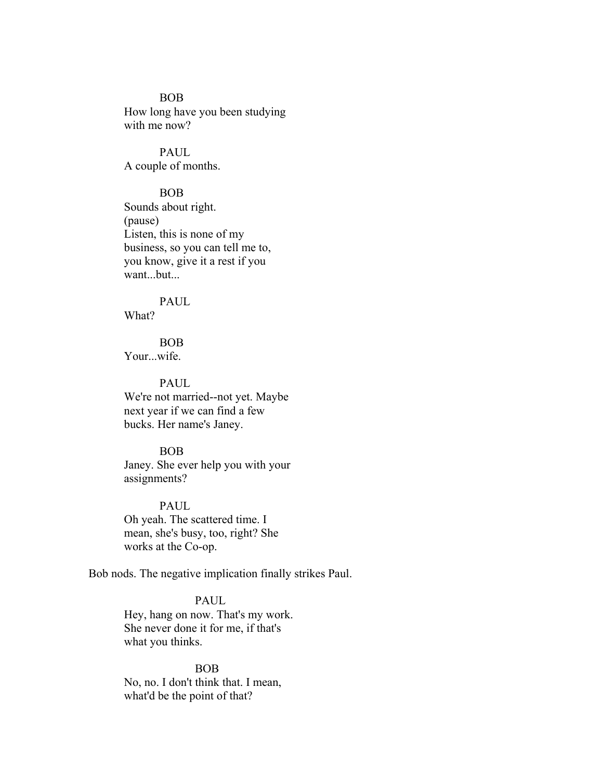#### BOB

How long have you been studying with me now?

PAUL A couple of months.

#### BOB

Sounds about right. (pause) Listen, this is none of my business, so you can tell me to, you know, give it a rest if you want...but...

# PAUL

What?

BOB Your...wife.

#### **PAUL**

We're not married--not yet. Maybe next year if we can find a few bucks. Her name's Janey.

#### BOB

Janey. She ever help you with your assignments?

PAUL

Oh yeah. The scattered time. I mean, she's busy, too, right? She works at the Co-op.

Bob nods. The negative implication finally strikes Paul.

# PAUL

Hey, hang on now. That's my work. She never done it for me, if that's what you thinks.

BOB No, no. I don't think that. I mean, what'd be the point of that?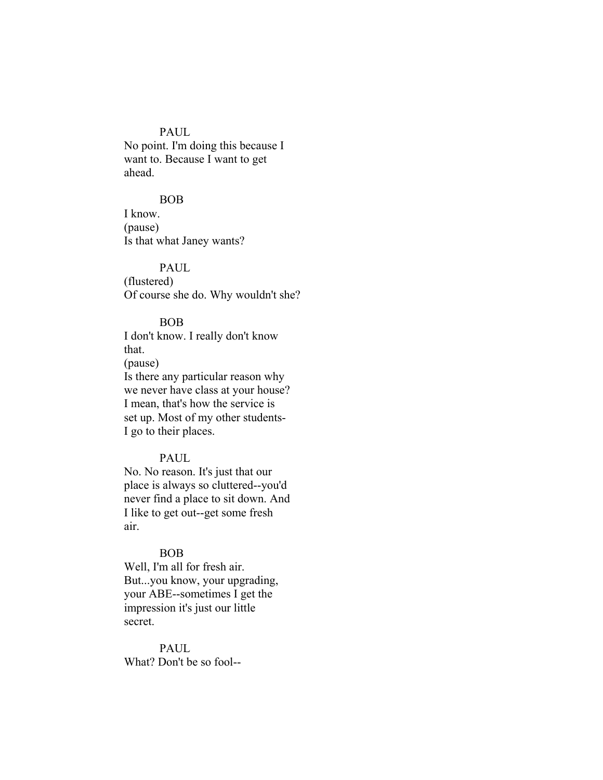# PAUL

No point. I'm doing this because I want to. Because I want to get ahead.

#### BOB

I know. (pause) Is that what Janey wants?

PAUL (flustered)

Of course she do. Why wouldn't she?

#### BOB

I don't know. I really don't know that.

(pause)

Is there any particular reason why we never have class at your house? I mean, that's how the service is set up. Most of my other students-I go to their places.

# PAUL

No. No reason. It's just that our place is always so cluttered--you'd never find a place to sit down. And I like to get out--get some fresh air.

## BOB

Well, I'm all for fresh air. But...you know, your upgrading, your ABE--sometimes I get the impression it's just our little secret.

#### PAUL.

What? Don't be so fool--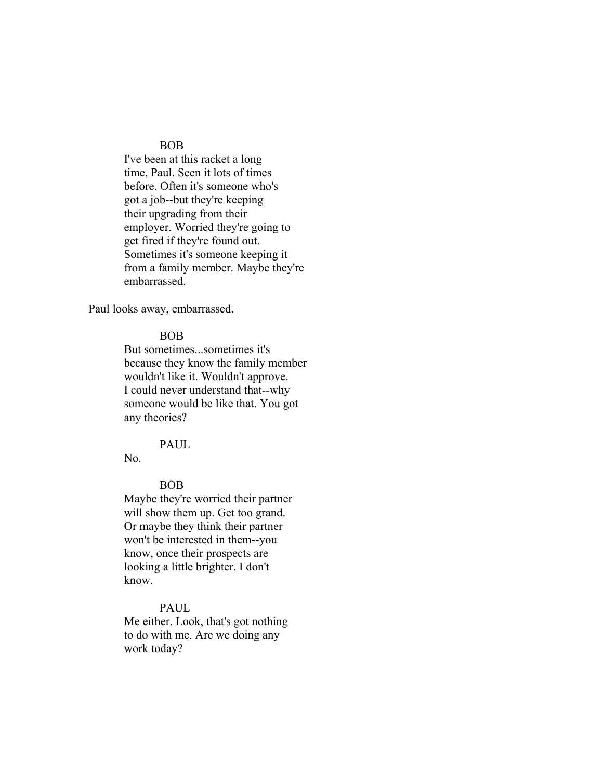#### BOB

I've been at this racket a long time, Paul. Seen it lots of times before. Often it's someone who's got a job--but they're keeping their upgrading from their employer. Worried they're going to get fired if they're found out. Sometimes it's someone keeping it from a family member. Maybe they're embarrassed.

Paul looks away, embarrassed.

# BOB

But sometimes...sometimes it's because they know the family member wouldn't like it. Wouldn't approve. I could never understand that--why someone would be like that. You got any theories?

#### PAUL

No.

# BOB

Maybe they're worried their partner will show them up. Get too grand. Or maybe they think their partner won't be interested in them--you know, once their prospects are looking a little brighter. I don't know.

# PAUL

Me either. Look, that's got nothing to do with me. Are we doing any work today?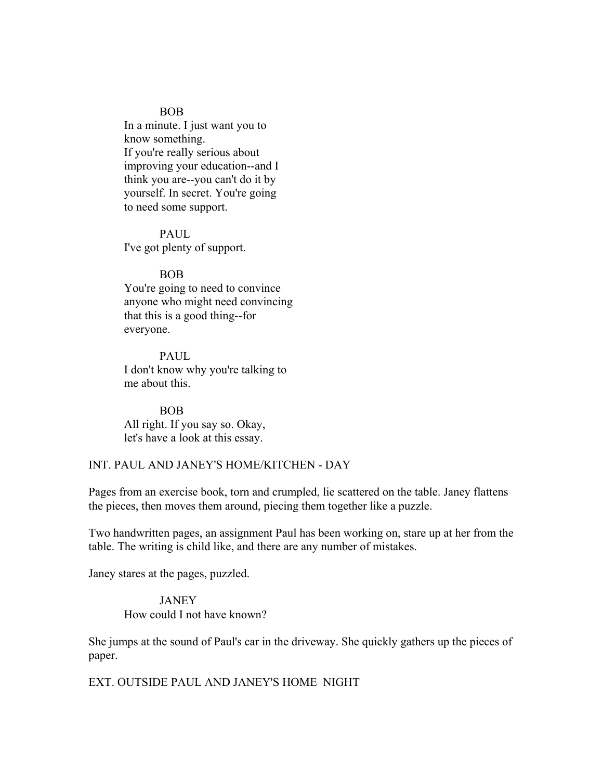#### BOB

In a minute. I just want you to know something. If you're really serious about improving your education--and I think you are--you can't do it by yourself. In secret. You're going to need some support.

PAUL I've got plenty of support.

#### BOB

You're going to need to convince anyone who might need convincing that this is a good thing--for everyone.

PAUL I don't know why you're talking to me about this.

BOB All right. If you say so. Okay, let's have a look at this essay.

# INT. PAUL AND JANEY'S HOME/KITCHEN - DAY

Pages from an exercise book, torn and crumpled, lie scattered on the table. Janey flattens the pieces, then moves them around, piecing them together like a puzzle.

Two handwritten pages, an assignment Paul has been working on, stare up at her from the table. The writing is child like, and there are any number of mistakes.

Janey stares at the pages, puzzled.

# **JANEY** How could I not have known?

She jumps at the sound of Paul's car in the driveway. She quickly gathers up the pieces of paper.

EXT. OUTSIDE PAUL AND JANEY'S HOME-NIGHT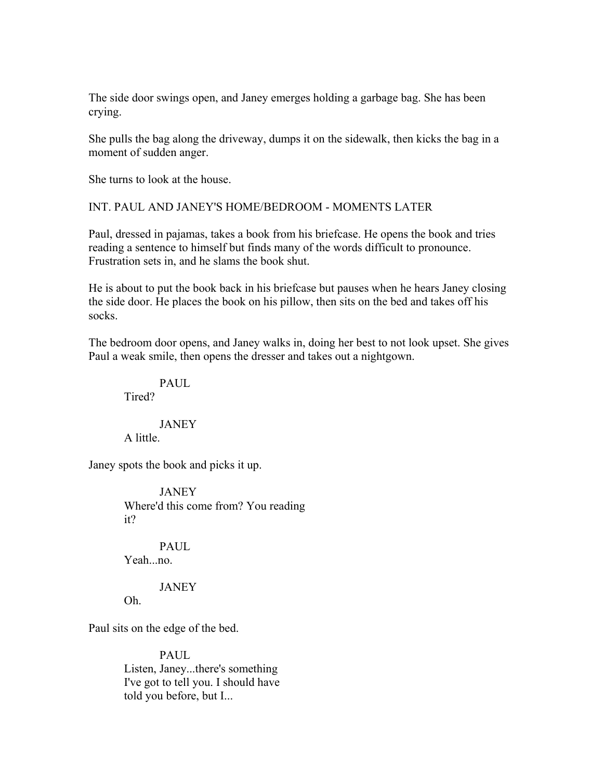The side door swings open, and Janey emerges holding a garbage bag. She has been crying.

She pulls the bag along the driveway, dumps it on the sidewalk, then kicks the bag in a moment of sudden anger.

She turns to look at the house.

# INT. PAUL AND JANEY'S HOME/BEDROOM - MOMENTS LATER

Paul, dressed in pajamas, takes a book from his briefcase. He opens the book and tries reading a sentence to himself but finds many of the words difficult to pronounce. Frustration sets in, and he slams the book shut.

He is about to put the book back in his briefcase but pauses when he hears Janey closing the side door. He places the book on his pillow, then sits on the bed and takes off his socks.

The bedroom door opens, and Janey walks in, doing her best to not look upset. She gives Paul a weak smile, then opens the dresser and takes out a nightgown.

# PAUL.

Tired?

**JANEY** A little.

Janey spots the book and picks it up.

**JANEY** Where'd this come from? You reading it?

PAUL. Yeah...no.

JANEY

Oh.

Paul sits on the edge of the bed.

**PAUL** Listen, Janey...there's something I've got to tell you. I should have told you before, but I...